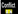

İ

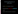By the end of this lesson, you will be able to:

- dentify conflict as it appears in literature.
- $\blacksquare$  distinguish between internal and external

conflict.

classify a conflict into one of four subcategories.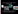### Conflict is a clash or struggle between opposing forces.



In literature and in real life humans face internal and external conflicts.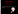

## Man vs. self

A struggle that takes place in a character's mind is called internal conflict.

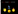### An internal struggle is inside one's head.

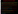# Examples of Internal Conflict

- A character may have a dilemma: wrestle with one's conscience, decide between right and wrong, make a choice in a lose-lose situation, or struggle with two solutions to a problem (Should I stick up for my best friend who is getting teased?)
- A character has mixed emotions, such as feeling relieved but disappointed at the same time (I'm disappointed the concert was cancelled, but relieved because I had stage-<br>fright.)
- A character's fear prevents him/her from reaching a goal (I want to camp out with the club, but I am secretly terrified of the dark.)
	- A character feels guilt or shame about a past wrongdoing (I can't believe I stole the radio…how can I redeem myself?)
	- A character struggles with self-image or conflicting identities (I don't like the way I look, and I want to hide; I want to be American instead of Martian.)
	- A character struggles with breaking a bad habit (I just can't stop lying.)
- Many other examples!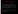## Man vs. Self Examples

 Jessica thinks the sweater Grandmother made for her is ugly. Grandmother is looking forward to seeing her wear it to her middle school graduation. Todd, the boy she likes, will be there. She doesn't want to hurt Grandmother's feelings, but she will feel embarrassed in front of Todd on the last day before summer.

 Martin's family just moved here from France. He values his culture, but wants to be "Americanized."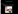External Conflict

#### Definition:

#### A struggle between a character and an outside force is an external conflict.

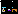#### Characters may face several types of outside forces.

The outside force may be another character.

Man vs. man



The outside force may be forces of nature.

Man vs. nature



The outside force may be society.

Man vs. society

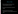### Man vs. Man

- This is mostly seen in the form of two characters against each other.
- It can also be represented by a group of people.
- It does not have to be a physical confrontation; it can be a battle between two ideas.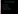### Man vs. Man Examples

**Jill vs. the bully** 

- **Max vs. his parents**
- **The Ravens vs. the Giants**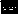Man vs. Nature/Environment

**Environment is defined as anything** surrounding a person.

- **This can include weather, objects, activities.**
- It is basically anything external EXCEPT people.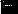Man vs. Nature/Environment Examples

- **The hiker vs. the slippery slope**
- **The captain of the ship vs. a hurricane**
- **Laura vs. the raging dog**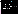Man vs. Society

- Society is defined as the customs, beliefs, or actions of the community.
- **This can include a community unfairly treating a** character based on his/her race, nationality, gender, language, religion, social status (rich/poor), disability, etc.